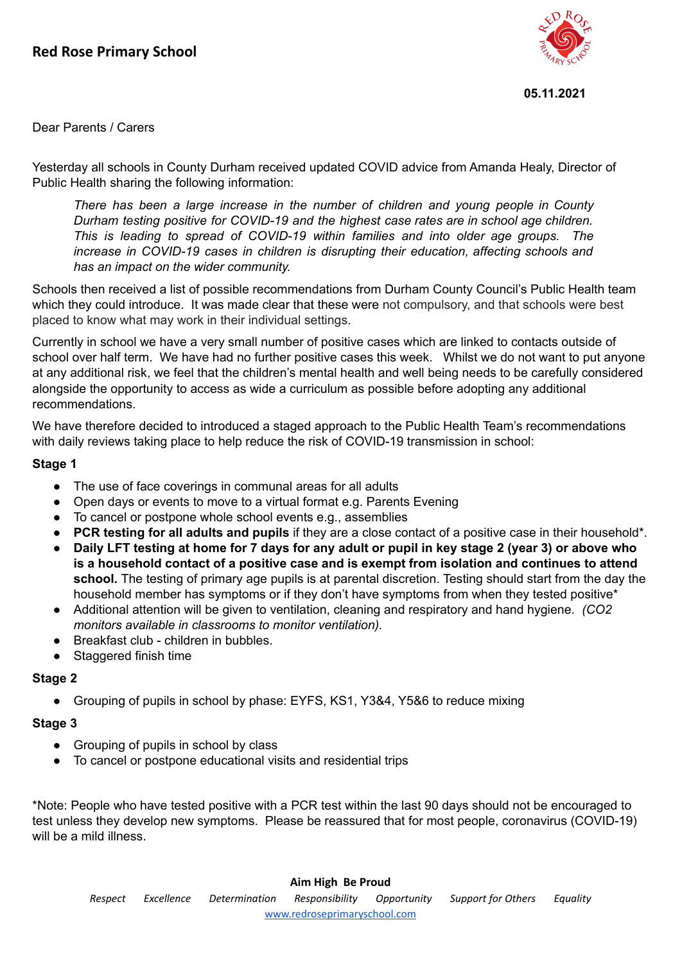

#### **05.11.2021**

Dear Parents / Carers

Yesterday all schools in County Durham received updated COVID advice from Amanda Healy, Director of Public Health sharing the following information:

*There has been a large increase in the number of children and young people in County Durham testing positive for COVID-19 and the highest case rates are in school age children. This is leading to spread of COVID-19 within families and into older age groups. The increase in COVID-19 cases in children is disrupting their education, affecting schools and has an impact on the wider community.*

Schools then received a list of possible recommendations from Durham County Council's Public Health team which they could introduce. It was made clear that these were not compulsory, and that schools were best placed to know what may work in their individual settings.

Currently in school we have a very small number of positive cases which are linked to contacts outside of school over half term. We have had no further positive cases this week. Whilst we do not want to put anyone at any additional risk, we feel that the children's mental health and well being needs to be carefully considered alongside the opportunity to access as wide a curriculum as possible before adopting any additional recommendations.

We have therefore decided to introduced a staged approach to the Public Health Team's recommendations with daily reviews taking place to help reduce the risk of COVID-19 transmission in school:

### **Stage 1**

- The use of face coverings in communal areas for all adults
- Open days or events to move to a virtual format e.g. Parents Evening
- To cancel or postpone whole school events e.g., assemblies
- **PCR testing for all adults and pupils** if they are a close contact of a positive case in their household\*.
- Daily LFT testing at home for 7 days for any adult or pupil in key stage 2 (year 3) or above who **is a household contact of a positive case and is exempt from isolation and continues to attend school.** The testing of primary age pupils is at parental discretion. Testing should start from the day the household member has symptoms or if they don't have symptoms from when they tested positive\*
- **●** Additional attention will be given to ventilation, cleaning and respiratory and hand hygiene. *(CO2 monitors available in classrooms to monitor ventilation).*
- Breakfast club children in bubbles.
- Staggered finish time

### **Stage 2**

● Grouping of pupils in school by phase: EYFS, KS1, Y3&4, Y5&6 to reduce mixing

### **Stage 3**

- Grouping of pupils in school by class
- To cancel or postpone educational visits and residential trips

\*Note: People who have tested positive with a PCR test within the last 90 days should not be encouraged to test unless they develop new symptoms. Please be reassured that for most people, coronavirus (COVID-19) will be a mild illness.

### **Aim High Be Proud**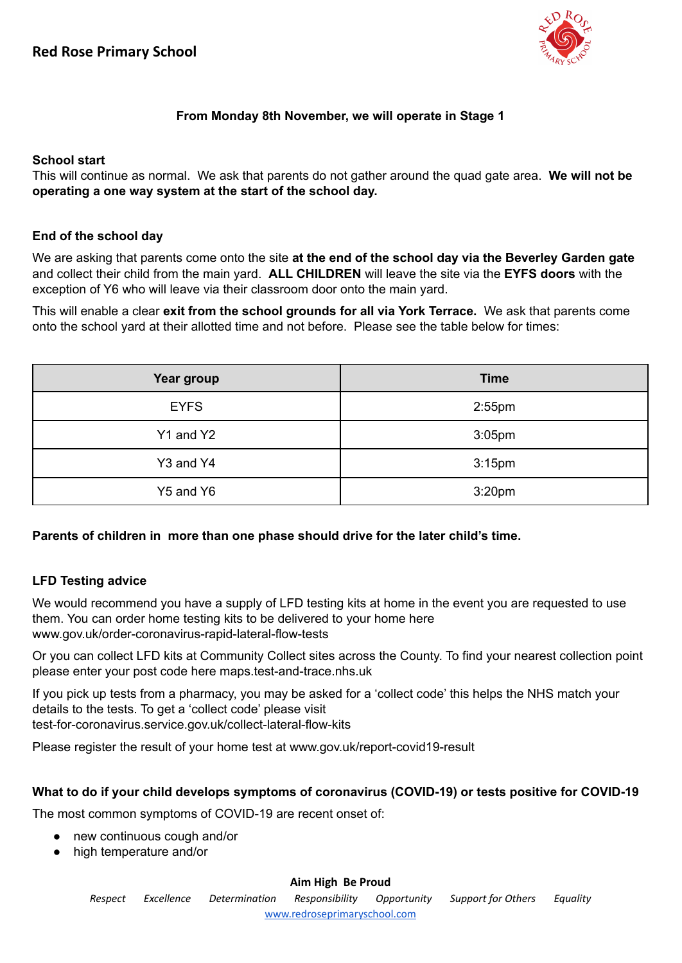

# **From Monday 8th November, we will operate in Stage 1**

### **School start**

This will continue as normal. We ask that parents do not gather around the quad gate area. **We will not be operating a one way system at the start of the school day.**

### **End of the school day**

We are asking that parents come onto the site **at the end of the school day via the Beverley Garden gate** and collect their child from the main yard. **ALL CHILDREN** will leave the site via the **EYFS doors** with the exception of Y6 who will leave via their classroom door onto the main yard.

This will enable a clear **exit from the school grounds for all via York Terrace.** We ask that parents come onto the school yard at their allotted time and not before. Please see the table below for times:

| Year group  | <b>Time</b>        |
|-------------|--------------------|
| <b>EYFS</b> | $2:55$ pm          |
| Y1 and Y2   | $3:05$ pm          |
| Y3 and Y4   | 3:15 <sub>pm</sub> |
| Y5 and Y6   | 3:20 <sub>pm</sub> |

**Parents of children in more than one phase should drive for the later child's time.**

## **LFD Testing advice**

We would recommend you have a supply of LFD testing kits at home in the event you are requested to use them. You can order home testing kits to be delivered to your home here www.gov.uk/order-coronavirus-rapid-lateral-flow-tests

Or you can collect LFD kits at Community Collect sites across the County. To find your nearest collection point please enter your post code here maps.test-and-trace.nhs.uk

If you pick up tests from a pharmacy, you may be asked for a 'collect code' this helps the NHS match your details to the tests. To get a 'collect code' please visit test-for-coronavirus.service.gov.uk/collect-lateral-flow-kits

Please register the result of your home test at www.gov.uk/report-covid19-result

## **What to do if your child develops symptoms of coronavirus (COVID-19) or tests positive for COVID-19**

The most common symptoms of COVID-19 are recent onset of:

- new continuous cough and/or
- high temperature and/or

### **Aim High Be Proud**